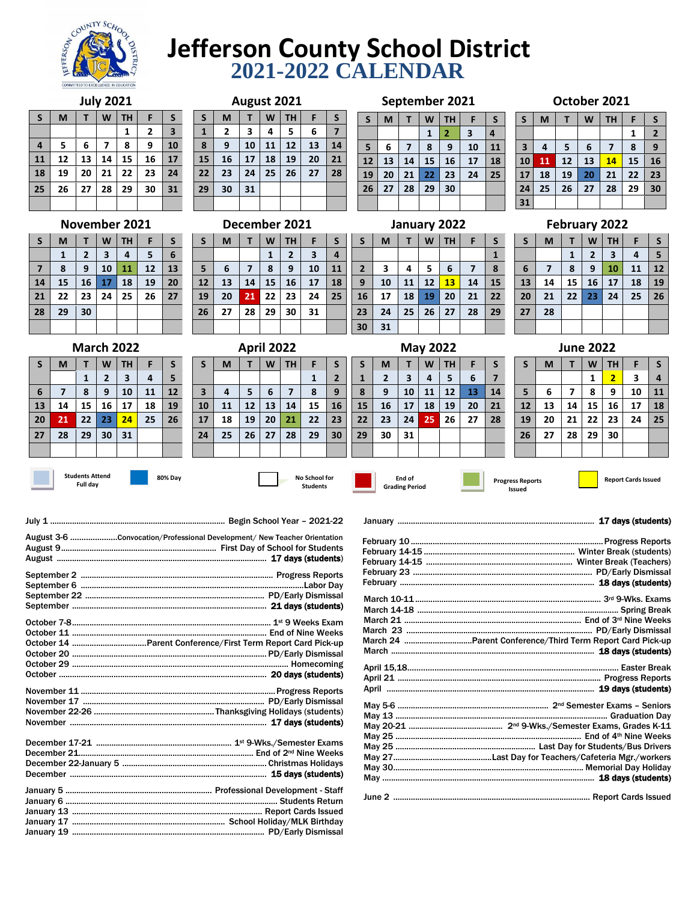

## **Jefferson County School District 2021-2022 CALENDAR**

|              | <b>July 2021</b> |    |    |    |              |                         |  |  |  |
|--------------|------------------|----|----|----|--------------|-------------------------|--|--|--|
| $\mathsf{s}$ | M                | F  | S  |    |              |                         |  |  |  |
|              |                  |    |    | 1  | $\mathbf{2}$ | $\overline{\mathbf{3}}$ |  |  |  |
| 4            | 5                | 6  | 7  | 8  | 9            | 10                      |  |  |  |
| 11           | 12               | 13 | 14 | 15 | 16           | 17                      |  |  |  |
| 18           | 19               | 20 | 21 | 22 | 23           | 24                      |  |  |  |
| 25           | 26               | 27 | 28 | 29 | 30           | 31                      |  |  |  |
|              |                  |    |    |    |              |                         |  |  |  |

**March 2022 S M T W TH F S**

**6 7 8 9 10 11 12 13 14 15 16 17 18 19 20 21 22 23 24 25 26**

**1 2 3 4 5**

|                |    |    |    |               |    |    |    |    | ~  |    |               |    |    |                |    |    |    |              |    |    |
|----------------|----|----|----|---------------|----|----|----|----|----|----|---------------|----|----|----------------|----|----|----|--------------|----|----|
| S              | M  |    | W  | ΤН            | F  | S  | S  | M  | т  | W  | TН            | F  | S  | S              | M  |    | W  | <b>TH</b>    | F  | S  |
|                |    |    |    | 1             | 2  | 3  | 1  | 2  | 3  | 4  | 5             | 6  | 7  |                |    |    | 1  | 2            | 3  | 4  |
| $\overline{4}$ | 5  | 6  | 7  | 8             | 9  | 10 | 8  | 9  | 10 | 11 | 12            | 13 | 14 | 5              | 6  | 7  | 8  | 9            | 10 | 11 |
| 11             | 12 | 13 | 14 | 15            | 16 | 17 | 15 | 16 | 17 | 18 | 19            | 20 | 21 | 12             | 13 | 14 | 15 | 16           | 17 | 18 |
| 18             | 19 | 20 | 21 | 22            | 23 | 24 | 22 | 23 | 24 | 25 | 26            | 27 | 28 | 19             | 20 | 21 | 22 | 23           | 24 | 25 |
| 25             | 26 | 27 | 28 | 29            | 30 | 31 | 29 | 30 | 31 |    |               |    |    | 26             | 27 | 28 | 29 | 30           |    |    |
|                |    |    |    |               |    |    |    |    |    |    |               |    |    |                |    |    |    |              |    |    |
|                |    |    |    | November 2021 |    |    |    |    |    |    | December 2021 |    |    |                |    |    |    | January 2022 |    |    |
| S              | M  | т  | W  | TН            | F  | S  | S  | M  | т  | W  | TН            | F  | S  | S              | M  |    | W  | <b>TH</b>    | F  | S  |
|                | 1  | 2  | 3  | 4             | 5  | 6  |    |    |    | 1  | 2             | 3  | 4  |                |    |    |    |              |    | 1  |
| $\overline{7}$ | 8  | 9  | 10 | 11            | 12 | 13 | 5  | 6  | 7  | 8  | 9             | 10 | 11 | $\overline{2}$ | 3  | 4  | 5  | 6            | 7  | 8  |
| 14             | 15 | 16 | 17 | 18            | 19 | 20 | 12 | 13 | 14 | 15 | 16            | 17 | 18 | 9              | 10 | 11 | 12 | 13           | 14 | 15 |
| 21             | 22 | 23 | 24 | 25            | 26 | 27 | 19 | 20 | 21 | 22 | 23            | 24 | 25 | 16             | 17 | 18 | 19 | 20           | 21 | 22 |

**April 2022**  $S$  **M**  $T$  **W**  $TH$  **F**  $S$ 

 **4 5 6 7 8 9 11 12 13 14 15 16 18 19 20 21 22 23 25 26 27 28 29 30**

**August 2021**

|                | -- |                | --           | --             | - -                     | -- |  |  |  |  |
|----------------|----|----------------|--------------|----------------|-------------------------|----|--|--|--|--|
| 29             | 30 | 31             |              |                |                         |    |  |  |  |  |
|                |    |                |              |                |                         |    |  |  |  |  |
| December 2021  |    |                |              |                |                         |    |  |  |  |  |
| $\mathsf{s}$   | M  | т              | W            | <b>TH</b>      | F                       | S  |  |  |  |  |
|                |    |                | $\mathbf{1}$ | $\overline{2}$ | $\overline{\mathbf{3}}$ | 4  |  |  |  |  |
| $5\phantom{1}$ | 6  | $\overline{7}$ | 8            | 9              | 10                      | 11 |  |  |  |  |
| 12             | 13 | 14             | 15           | 16             | 17                      | 18 |  |  |  |  |
| 19             | 20 | 21             | 22           | 23             | 24                      | 25 |  |  |  |  |
| 26             | 27 | 28             | 29           | 30             | 31                      |    |  |  |  |  |

## **S M T W TH F S**  $1 \mid 2 \mid 3 \mid 4$ **5 6 7 8 9 10 11**

**September 2021**

| October 2021 |  |
|--------------|--|
|--------------|--|

| S         | M  |    | W  | <b>TH</b> | F  | S              |
|-----------|----|----|----|-----------|----|----------------|
|           |    |    |    |           | 1  | $\overline{2}$ |
| 3         | 4  | 5  | 6  | 7         | 8  | 9              |
| 10        | 11 | 12 | 13 | 14        | 15 | 16             |
| <b>17</b> | 18 | 19 | 20 | 21        | 22 | 23             |
| 24        | 25 | 26 | 27 | 28        | 29 | 30             |
| 31        |    |    |    |           |    |                |

**February 2022**  $S$  **M**  $\vert T \vert W \vert TH$  **F**  $\vert S \vert$ 

**6 7 8 9 10 11 12 13 14 15 16 17 18 19 20 21 22 23 24 25 26**

**1 2 3 4 5**

| January 2022            |                                    |    |                 |    |    |    |  |  |  |
|-------------------------|------------------------------------|----|-----------------|----|----|----|--|--|--|
| $\mathsf{s}$            | S<br><b>TH</b><br>W<br>M<br>F<br>т |    |                 |    |    |    |  |  |  |
| $\mathbf{1}$            |                                    |    |                 |    |    |    |  |  |  |
| $\overline{\mathbf{c}}$ | 3                                  | 4  | 5               | 6  | 7  | 8  |  |  |  |
| $\mathbf{9}$            | 10                                 | 11 | 12              | 13 | 14 | 15 |  |  |  |
| 16                      | 17                                 | 18 | 19              | 20 | 21 | 22 |  |  |  |
| 23                      | 24                                 | 25 | 26              | 27 | 28 | 29 |  |  |  |
| 30                      | 31                                 |    |                 |    |    |    |  |  |  |
|                         |                                    |    | <b>May 2022</b> |    |    |    |  |  |  |

| $\mathsf{s}$ | M                       | Т  | W  | <b>TH</b> | F  | S  |  |  |  |  |  |
|--------------|-------------------------|----|----|-----------|----|----|--|--|--|--|--|
| $\mathbf{1}$ | $\overline{\mathbf{2}}$ | 3  | 4  | 5         | 6  | 7  |  |  |  |  |  |
| 8            | 9                       | 10 | 11 | 12        | 13 | 14 |  |  |  |  |  |
| 15           | 16                      | 17 | 18 | 19        | 20 | 21 |  |  |  |  |  |
| 22           | 23                      | 24 | 25 | 26        | 27 | 28 |  |  |  |  |  |
| 29           | 30                      | 31 |    |           |    |    |  |  |  |  |  |
|              |                         |    |    |           |    |    |  |  |  |  |  |
|              |                         |    |    |           |    |    |  |  |  |  |  |

| <b>June 2022</b> |    |                |    |                         |    |    |  |  |
|------------------|----|----------------|----|-------------------------|----|----|--|--|
| $\mathsf{s}$     | M  | т              | W  | <b>TH</b>               | F  | S  |  |  |
|                  |    |                | 1  | $\overline{\mathbf{2}}$ | 3  | 4  |  |  |
| 5                | 6  | $\overline{ }$ | 8  | 9                       | 10 | 11 |  |  |
| 12               | 13 | 14             | 15 | 16                      | 17 | 18 |  |  |
| 19               | 20 | 21             | 22 | 23                      | 24 | 25 |  |  |
| 26               | 27 | 28             | 29 | 30                      |    |    |  |  |
|                  |    |                |    |                         |    |    |  |  |

**Students Attend Full day**

**27 28 29 30 31**

**28 29 30**

**80% Day No School for**

**Students**

**1 2**

**Grading Period**

**End of**

**Issued**

**27 28**

January .......................................................................................... 17 days (students)

Progress Reports **Report Cards Issued** 

| August 3-6 Convocation/Professional Development/ New Teacher Orientation |  |
|--------------------------------------------------------------------------|--|
|                                                                          |  |
|                                                                          |  |
|                                                                          |  |
|                                                                          |  |
|                                                                          |  |

| March 24 Parent Conference/Third Term Report Card Pick-up |
|-----------------------------------------------------------|
|                                                           |
|                                                           |
|                                                           |
|                                                           |
|                                                           |
|                                                           |
|                                                           |
|                                                           |
|                                                           |
|                                                           |
|                                                           |
|                                                           |
|                                                           |
|                                                           |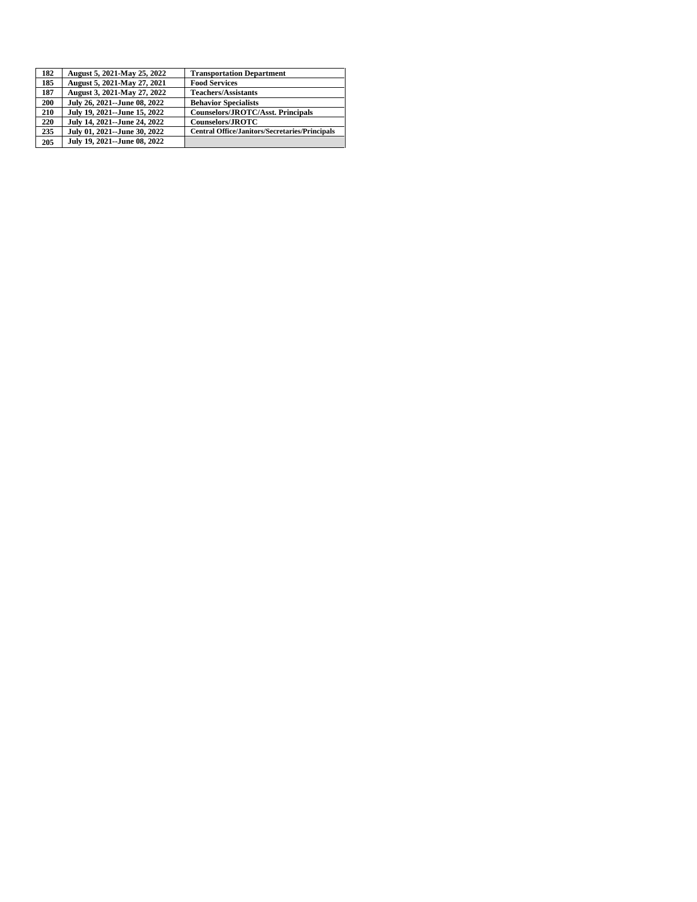| 182        | August 5, 2021-May 25, 2022  | <b>Transportation Department</b>                      |
|------------|------------------------------|-------------------------------------------------------|
| 185        | August 5, 2021-May 27, 2021  | <b>Food Services</b>                                  |
| 187        | August 3, 2021-May 27, 2022  | <b>Teachers/Assistants</b>                            |
| <b>200</b> | July 26, 2021--June 08, 2022 | <b>Behavior Specialists</b>                           |
| 210        | July 19, 2021--June 15, 2022 | Counselors/JROTC/Asst. Principals                     |
| 220        | July 14, 2021--June 24, 2022 | <b>Counselors/JROTC</b>                               |
| 235        | July 01, 2021--June 30, 2022 | <b>Central Office/Janitors/Secretaries/Principals</b> |
| 205        | July 19, 2021--June 08, 2022 |                                                       |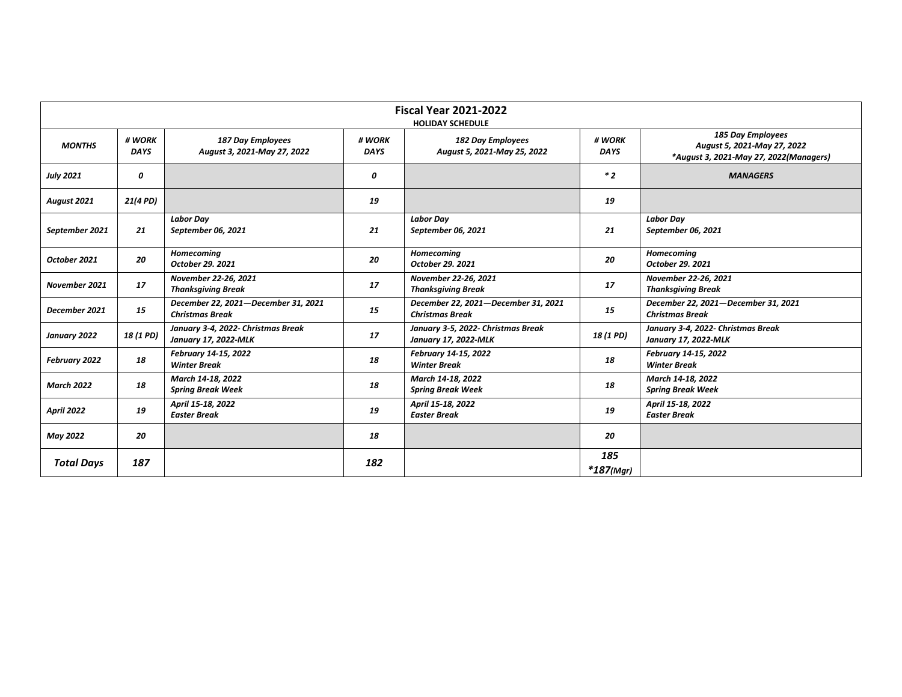|                   | <b>Fiscal Year 2021-2022</b><br><b>HOLIDAY SCHEDULE</b> |                                                               |                       |                                                               |                       |                                                                                            |  |  |  |
|-------------------|---------------------------------------------------------|---------------------------------------------------------------|-----------------------|---------------------------------------------------------------|-----------------------|--------------------------------------------------------------------------------------------|--|--|--|
| <b>MONTHS</b>     | # WORK<br><b>DAYS</b>                                   | <b>187 Day Employees</b><br>August 3, 2021-May 27, 2022       | # WORK<br><b>DAYS</b> | <b>182 Day Employees</b><br>August 5, 2021-May 25, 2022       | # WORK<br><b>DAYS</b> | 185 Day Employees<br>August 5, 2021-May 27, 2022<br>*August 3, 2021-May 27, 2022(Managers) |  |  |  |
| <b>July 2021</b>  | 0                                                       |                                                               | 0                     |                                                               | $*2$                  | <b>MANAGERS</b>                                                                            |  |  |  |
| August 2021       | 21(4 PD)                                                |                                                               | 19                    |                                                               | 19                    |                                                                                            |  |  |  |
| September 2021    | 21                                                      | <b>Labor Day</b><br>September 06, 2021                        | 21                    | <b>Labor Day</b><br>September 06, 2021                        | 21                    | <b>Labor Day</b><br>September 06, 2021                                                     |  |  |  |
| October 2021      | 20                                                      | Homecoming<br>October 29. 2021                                | 20                    | <b>Homecoming</b><br>October 29. 2021                         | 20                    | <b>Homecoming</b><br>October 29. 2021                                                      |  |  |  |
| November 2021     | 17                                                      | November 22-26, 2021<br><b>Thanksgiving Break</b>             | 17                    | November 22-26, 2021<br><b>Thanksgiving Break</b>             | 17                    | November 22-26, 2021<br><b>Thanksgiving Break</b>                                          |  |  |  |
| December 2021     | 15                                                      | December 22, 2021-December 31, 2021<br><b>Christmas Break</b> | 15                    | December 22, 2021-December 31, 2021<br><b>Christmas Break</b> | 15                    | December 22, 2021-December 31, 2021<br><b>Christmas Break</b>                              |  |  |  |
| January 2022      | 18 (1 PD)                                               | January 3-4, 2022- Christmas Break<br>January 17, 2022-MLK    | 17                    | January 3-5, 2022- Christmas Break<br>January 17, 2022-MLK    | 18 (1 PD)             | January 3-4, 2022- Christmas Break<br>January 17, 2022-MLK                                 |  |  |  |
| February 2022     | 18                                                      | February 14-15, 2022<br><b>Winter Break</b>                   | 18                    | February 14-15, 2022<br><b>Winter Break</b>                   | 18                    | February 14-15, 2022<br><b>Winter Break</b>                                                |  |  |  |
| <b>March 2022</b> | 18                                                      | March 14-18, 2022<br><b>Spring Break Week</b>                 | 18                    | March 14-18, 2022<br><b>Spring Break Week</b>                 | 18                    | March 14-18, 2022<br><b>Spring Break Week</b>                                              |  |  |  |
| <b>April 2022</b> | 19                                                      | April 15-18, 2022<br><b>Easter Break</b>                      | 19                    | April 15-18, 2022<br><b>Easter Break</b>                      | 19                    | April 15-18, 2022<br><b>Easter Break</b>                                                   |  |  |  |
| <b>May 2022</b>   | 20                                                      |                                                               | 18                    |                                                               | 20                    |                                                                                            |  |  |  |
| <b>Total Days</b> | 187                                                     |                                                               | 182                   |                                                               | 185<br>*187(Mgr)      |                                                                                            |  |  |  |